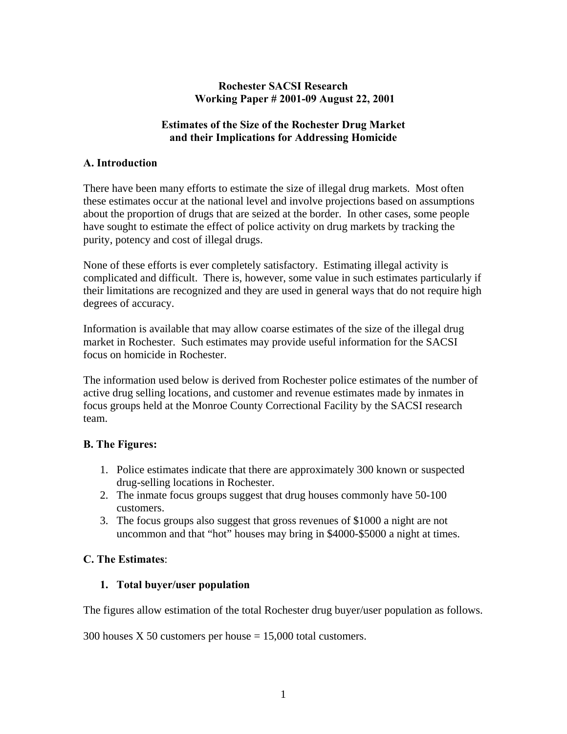## **Rochester SACSI Research Working Paper # 2001-09 August 22, 2001**

## **Estimates of the Size of the Rochester Drug Market and their Implications for Addressing Homicide**

## **A. Introduction**

There have been many efforts to estimate the size of illegal drug markets. Most often these estimates occur at the national level and involve projections based on assumptions about the proportion of drugs that are seized at the border. In other cases, some people have sought to estimate the effect of police activity on drug markets by tracking the purity, potency and cost of illegal drugs.

None of these efforts is ever completely satisfactory. Estimating illegal activity is complicated and difficult. There is, however, some value in such estimates particularly if their limitations are recognized and they are used in general ways that do not require high degrees of accuracy.

Information is available that may allow coarse estimates of the size of the illegal drug market in Rochester. Such estimates may provide useful information for the SACSI focus on homicide in Rochester.

The information used below is derived from Rochester police estimates of the number of active drug selling locations, and customer and revenue estimates made by inmates in focus groups held at the Monroe County Correctional Facility by the SACSI research team.

# **B. The Figures:**

- 1. Police estimates indicate that there are approximately 300 known or suspected drug-selling locations in Rochester.
- 2. The inmate focus groups suggest that drug houses commonly have 50-100 customers.
- 3. The focus groups also suggest that gross revenues of \$1000 a night are not uncommon and that "hot" houses may bring in \$4000-\$5000 a night at times.

# **C. The Estimates**:

#### **1. Total buyer/user population**

The figures allow estimation of the total Rochester drug buyer/user population as follows.

300 houses X 50 customers per house  $= 15,000$  total customers.